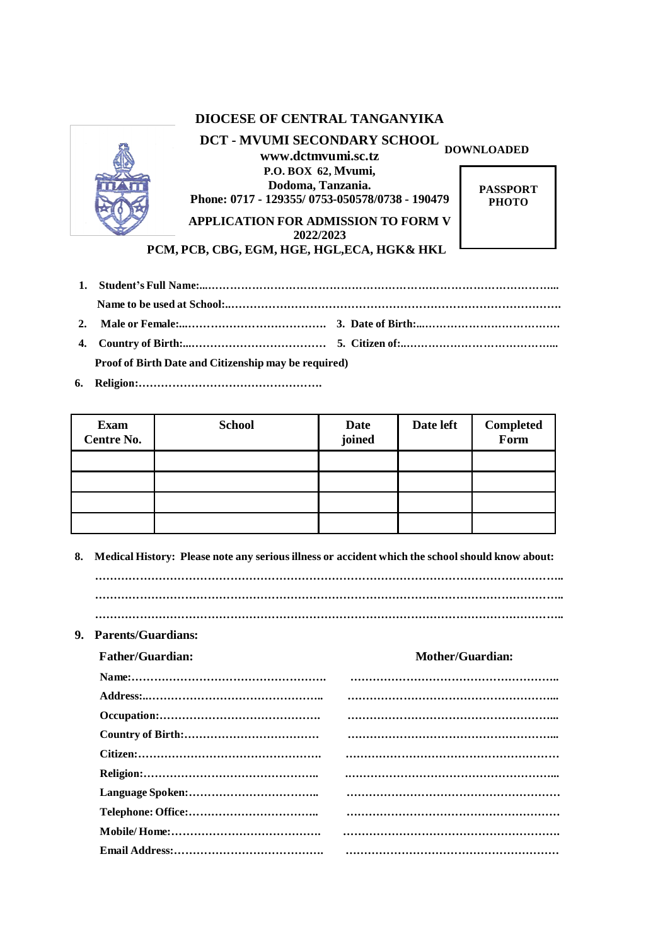| DIOCESE OF CENTRAL TANGANYIKA |                                                    |                   |  |  |
|-------------------------------|----------------------------------------------------|-------------------|--|--|
|                               | DCT - MVUMI SECONDARY SCHOOL<br>www.dctmvumi.sc.tz | <b>DOWNLOADED</b> |  |  |
|                               | P.O. BOX 62, Mvumi,                                |                   |  |  |
|                               | Dodoma, Tanzania.                                  | <b>PASSPORT</b>   |  |  |
|                               | Phone: 0717 - 129355/ 0753-050578/0738 - 190479    | <b>PHOTO</b>      |  |  |
|                               | APPLICATION FOR ADMISSION TO FORM V                |                   |  |  |
|                               | 2022/2023                                          |                   |  |  |
|                               | PCM, PCB, CBG, EGM, HGE, HGL, ECA, HGK& HKL        |                   |  |  |
|                               |                                                    |                   |  |  |

**Proof of Birth Date and Citizenship may be required)**

**6. Religion:………………………………………….**

| <b>Exam</b><br><b>Centre No.</b> | <b>School</b> | Date<br>joined | Date left | <b>Completed</b><br>Form |
|----------------------------------|---------------|----------------|-----------|--------------------------|
|                                  |               |                |           |                          |
|                                  |               |                |           |                          |
|                                  |               |                |           |                          |
|                                  |               |                |           |                          |

**8. Medical History: Please note any seriousillness or accident which the school should know about:**

**9. Parents/Guardians:**

| <b>Father/Guardian:</b> | Mother/Guardian: |
|-------------------------|------------------|
|                         |                  |
|                         |                  |
|                         |                  |
|                         |                  |
|                         |                  |
|                         |                  |
|                         |                  |
|                         |                  |
|                         |                  |
|                         |                  |